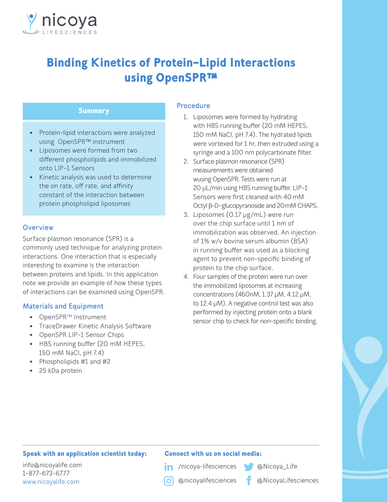

# Binding Kinetics of Protein-Lipid Interactions using OpenSPR™

## **Summary**

- Protein-lipid interactions were analyzed using OpenSPR™ instrument
- Liposomes were formed from two different phospholipids and immobilized onto LIP-1 Sensors
- Kinetic analysis was used to determine the on rate, off rate, and affinity constant of the interaction between protein phospholipid liposomes

#### **Overview**

Surface plasmon resonance (SPR) is a commonly used technique for analyzing protein interactions. One interaction that is especially interesting to examine is the interaction between proteins and lipids. In this application note we provide an example of how these types of interactions can be examined using OpenSPR.

## **Materials and Equipment**

- OpenSPR<sup>TM</sup> Instrument
- TraceDrawer Kinetic Analysis Software
- OpenSPR LIP-1 Sensor Chips
- HBS running buffer (20 mM HEPES, 150 mM NaCl, pH 7.4)
- Phospholipids #1 and #2
- 25 kDa protein

## **Procedure**

- 1. Liposomes were formed by hydrating with HBS running buffer (20 mM HEPES, 150 mM NaCl, pH 7.4). The hydrated lipids were vortexed for 1 hr, then extruded using a syringe and a 100 nm polycarbonate filter.
- 2. Surface plasmon resonance (SPR) measurements were obtained wusing OpenSPR. Tests were run at 20 µL/min using HBS running buffer. LIP-1 Sensors were first cleaned with 40mM Octyl β-D-glucopyranoside and 20mM CHAPS.
- 3. Liposomes (0.17 µg/mL) were run over the chip surface until 1 nm of immobilization was observed. An injection of 1% w/v bovine serum albumin (BSA) in running buffer was used as a blocking agent to prevent non-specific binding of protein to the chip surface.
- 4. Four samples of the protein were run over the immobilized liposomes at increasing concentrations (460nM, 1.37 µM, 4.12 µM, to 12.4 µM). A negative control test was also performed by injecting protein onto a blank sensor chip to check for non-specific binding.

#### Speak with an application scientist today:

info@nicoyalife.com 1-877-673-6777 www.nicoyalife.com

### Connect with us on social media:

in /nicoya-lifesciences

@Nicoya\_Life

@nicoyalifesciences

@NicoyaLifesciences